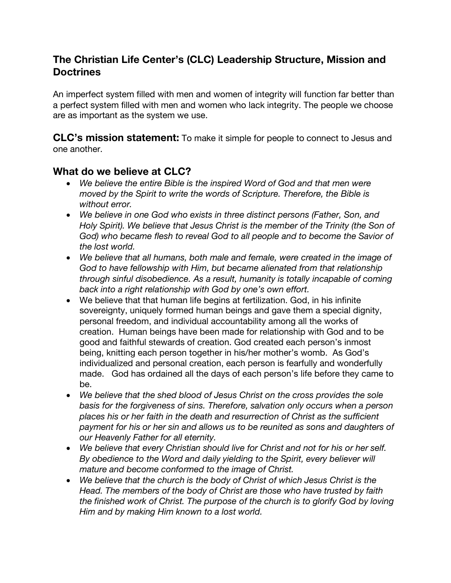# **The Christian Life Center's (CLC) Leadership Structure, Mission and Doctrines**

An imperfect system filled with men and women of integrity will function far better than a perfect system filled with men and women who lack integrity. The people we choose are as important as the system we use.

**CLC's mission statement:** To make it simple for people to connect to Jesus and one another.

### **What do we believe at CLC?**

- *We believe the entire Bible is the inspired Word of God and that men were moved by the Spirit to write the words of Scripture. Therefore, the Bible is without error.*
- *We believe in one God who exists in three distinct persons (Father, Son, and Holy Spirit). We believe that Jesus Christ is the member of the Trinity (the Son of God) who became flesh to reveal God to all people and to become the Savior of the lost world.*
- *We believe that all humans, both male and female, were created in the image of God to have fellowship with Him, but became alienated from that relationship through sinful disobedience. As a result, humanity is totally incapable of coming back into a right relationship with God by one's own effort.*
- We believe that that human life begins at fertilization. God, in his infinite sovereignty, uniquely formed human beings and gave them a special dignity, personal freedom, and individual accountability among all the works of creation. Human beings have been made for relationship with God and to be good and faithful stewards of creation. God created each person's inmost being, knitting each person together in his/her mother's womb. As God's individualized and personal creation, each person is fearfully and wonderfully made. God has ordained all the days of each person's life before they came to be.
- *We believe that the shed blood of Jesus Christ on the cross provides the sole basis for the forgiveness of sins. Therefore, salvation only occurs when a person places his or her faith in the death and resurrection of Christ as the sufficient payment for his or her sin and allows us to be reunited as sons and daughters of our Heavenly Father for all eternity.*
- *We believe that every Christian should live for Christ and not for his or her self. By obedience to the Word and daily yielding to the Spirit, every believer will mature and become conformed to the image of Christ.*
- *We believe that the church is the body of Christ of which Jesus Christ is the Head. The members of the body of Christ are those who have trusted by faith the finished work of Christ. The purpose of the church is to glorify God by loving Him and by making Him known to a lost world.*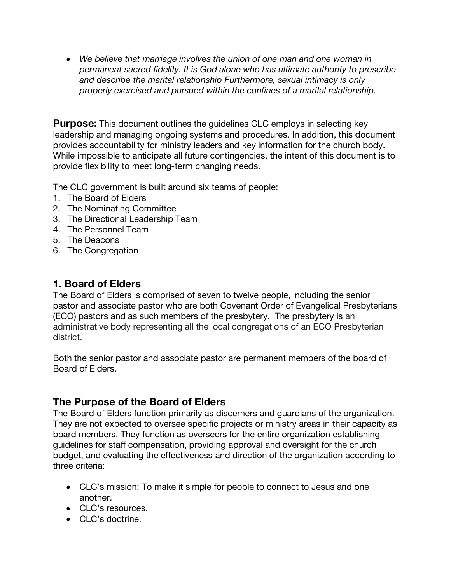• *We believe that marriage involves the union of one man and one woman in permanent sacred fidelity. It is God alone who has ultimate authority to prescribe and describe the marital relationship Furthermore, sexual intimacy is only properly exercised and pursued within the confines of a marital relationship.*

**Purpose:** This document outlines the guidelines CLC employs in selecting key leadership and managing ongoing systems and procedures. In addition, this document provides accountability for ministry leaders and key information for the church body. While impossible to anticipate all future contingencies, the intent of this document is to provide flexibility to meet long-term changing needs.

The CLC government is built around six teams of people:

- 1. The Board of Elders
- 2. The Nominating Committee
- 3. The Directional Leadership Team
- 4. The Personnel Team
- 5. The Deacons
- 6. The Congregation

### **1. Board of Elders**

The Board of Elders is comprised of seven to twelve people, including the senior pastor and associate pastor who are both Covenant Order of Evangelical Presbyterians (ECO) pastors and as such members of the presbytery. The presbytery is an administrative body representing all the local congregations of an ECO Presbyterian district.

Both the senior pastor and associate pastor are permanent members of the board of Board of Elders.

## **The Purpose of the Board of Elders**

The Board of Elders function primarily as discerners and guardians of the organization. They are not expected to oversee specific projects or ministry areas in their capacity as board members. They function as overseers for the entire organization establishing guidelines for staff compensation, providing approval and oversight for the church budget, and evaluating the effectiveness and direction of the organization according to three criteria:

- CLC's mission: To make it simple for people to connect to Jesus and one another.
- CLC's resources.
- CLC's doctrine.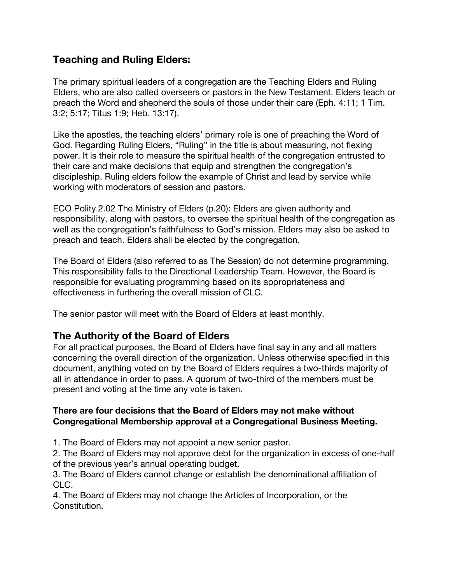# **Teaching and Ruling Elders:**

The primary spiritual leaders of a congregation are the Teaching Elders and Ruling Elders, who are also called overseers or pastors in the New Testament. Elders teach or preach the Word and shepherd the souls of those under their care (Eph. 4:11; 1 Tim. 3:2; 5:17; Titus 1:9; Heb. 13:17).

Like the apostles, the teaching elders' primary role is one of preaching the Word of God. Regarding Ruling Elders, "Ruling" in the title is about measuring, not flexing power. It is their role to measure the spiritual health of the congregation entrusted to their care and make decisions that equip and strengthen the congregation's discipleship. Ruling elders follow the example of Christ and lead by service while working with moderators of session and pastors.

ECO Polity 2.02 The Ministry of Elders (p.20): Elders are given authority and responsibility, along with pastors, to oversee the spiritual health of the congregation as well as the congregation's faithfulness to God's mission. Elders may also be asked to preach and teach. Elders shall be elected by the congregation.

The Board of Elders (also referred to as The Session) do not determine programming. This responsibility falls to the Directional Leadership Team. However, the Board is responsible for evaluating programming based on its appropriateness and effectiveness in furthering the overall mission of CLC.

The senior pastor will meet with the Board of Elders at least monthly.

#### **The Authority of the Board of Elders**

For all practical purposes, the Board of Elders have final say in any and all matters concerning the overall direction of the organization. Unless otherwise specified in this document, anything voted on by the Board of Elders requires a two-thirds majority of all in attendance in order to pass. A quorum of two-third of the members must be present and voting at the time any vote is taken.

#### **There are four decisions that the Board of Elders may not make without Congregational Membership approval at a Congregational Business Meeting.**

1. The Board of Elders may not appoint a new senior pastor.

2. The Board of Elders may not approve debt for the organization in excess of one-half of the previous year's annual operating budget.

3. The Board of Elders cannot change or establish the denominational affiliation of CLC.

4. The Board of Elders may not change the Articles of Incorporation, or the Constitution.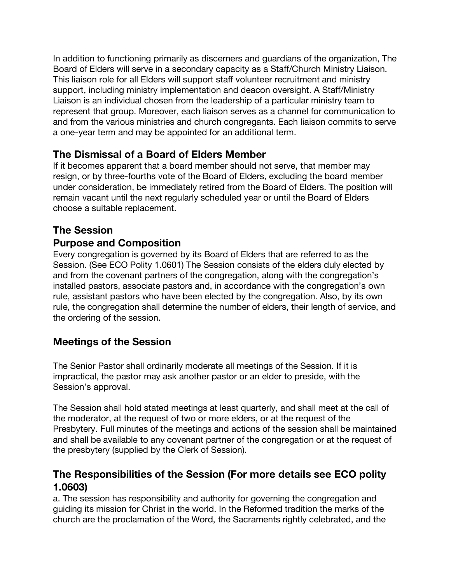In addition to functioning primarily as discerners and guardians of the organization, The Board of Elders will serve in a secondary capacity as a Staff/Church Ministry Liaison. This liaison role for all Elders will support staff volunteer recruitment and ministry support, including ministry implementation and deacon oversight. A Staff/Ministry Liaison is an individual chosen from the leadership of a particular ministry team to represent that group. Moreover, each liaison serves as a channel for communication to and from the various ministries and church congregants. Each liaison commits to serve a one-year term and may be appointed for an additional term.

# **The Dismissal of a Board of Elders Member**

If it becomes apparent that a board member should not serve, that member may resign, or by three-fourths vote of the Board of Elders, excluding the board member under consideration, be immediately retired from the Board of Elders. The position will remain vacant until the next regularly scheduled year or until the Board of Elders choose a suitable replacement.

# **The Session**

### **Purpose and Composition**

Every congregation is governed by its Board of Elders that are referred to as the Session. (See ECO Polity 1.0601) The Session consists of the elders duly elected by and from the covenant partners of the congregation, along with the congregation's installed pastors, associate pastors and, in accordance with the congregation's own rule, assistant pastors who have been elected by the congregation. Also, by its own rule, the congregation shall determine the number of elders, their length of service, and the ordering of the session.

## **Meetings of the Session**

The Senior Pastor shall ordinarily moderate all meetings of the Session. If it is impractical, the pastor may ask another pastor or an elder to preside, with the Session's approval.

The Session shall hold stated meetings at least quarterly, and shall meet at the call of the moderator, at the request of two or more elders, or at the request of the Presbytery. Full minutes of the meetings and actions of the session shall be maintained and shall be available to any covenant partner of the congregation or at the request of the presbytery (supplied by the Clerk of Session).

# **The Responsibilities of the Session (For more details see ECO polity 1.0603)**

a. The session has responsibility and authority for governing the congregation and guiding its mission for Christ in the world. In the Reformed tradition the marks of the church are the proclamation of the Word, the Sacraments rightly celebrated, and the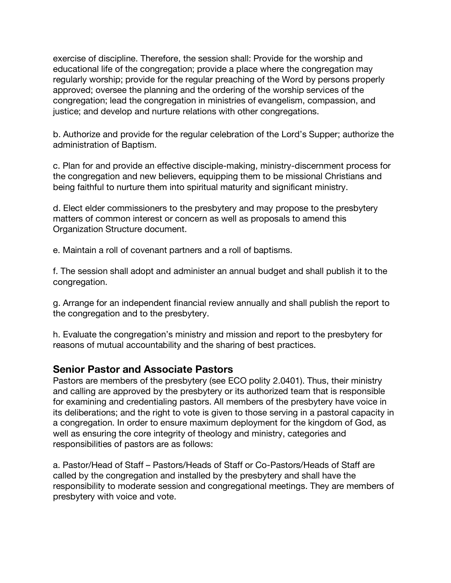exercise of discipline. Therefore, the session shall: Provide for the worship and educational life of the congregation; provide a place where the congregation may regularly worship; provide for the regular preaching of the Word by persons properly approved; oversee the planning and the ordering of the worship services of the congregation; lead the congregation in ministries of evangelism, compassion, and justice; and develop and nurture relations with other congregations.

b. Authorize and provide for the regular celebration of the Lord's Supper; authorize the administration of Baptism.

c. Plan for and provide an effective disciple-making, ministry-discernment process for the congregation and new believers, equipping them to be missional Christians and being faithful to nurture them into spiritual maturity and significant ministry.

d. Elect elder commissioners to the presbytery and may propose to the presbytery matters of common interest or concern as well as proposals to amend this Organization Structure document.

e. Maintain a roll of covenant partners and a roll of baptisms.

f. The session shall adopt and administer an annual budget and shall publish it to the congregation.

g. Arrange for an independent financial review annually and shall publish the report to the congregation and to the presbytery.

h. Evaluate the congregation's ministry and mission and report to the presbytery for reasons of mutual accountability and the sharing of best practices.

#### **Senior Pastor and Associate Pastors**

Pastors are members of the presbytery (see ECO polity 2.0401). Thus, their ministry and calling are approved by the presbytery or its authorized team that is responsible for examining and credentialing pastors. All members of the presbytery have voice in its deliberations; and the right to vote is given to those serving in a pastoral capacity in a congregation. In order to ensure maximum deployment for the kingdom of God, as well as ensuring the core integrity of theology and ministry, categories and responsibilities of pastors are as follows:

a. Pastor/Head of Staff – Pastors/Heads of Staff or Co-Pastors/Heads of Staff are called by the congregation and installed by the presbytery and shall have the responsibility to moderate session and congregational meetings. They are members of presbytery with voice and vote.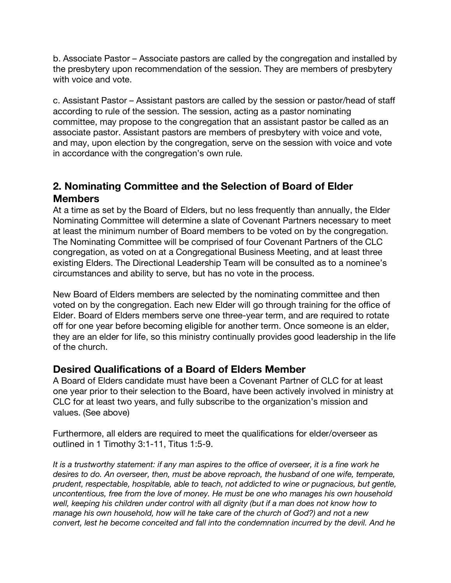b. Associate Pastor – Associate pastors are called by the congregation and installed by the presbytery upon recommendation of the session. They are members of presbytery with voice and vote.

c. Assistant Pastor – Assistant pastors are called by the session or pastor/head of staff according to rule of the session. The session, acting as a pastor nominating committee, may propose to the congregation that an assistant pastor be called as an associate pastor. Assistant pastors are members of presbytery with voice and vote, and may, upon election by the congregation, serve on the session with voice and vote in accordance with the congregation's own rule.

## **2. Nominating Committee and the Selection of Board of Elder Members**

At a time as set by the Board of Elders, but no less frequently than annually, the Elder Nominating Committee will determine a slate of Covenant Partners necessary to meet at least the minimum number of Board members to be voted on by the congregation. The Nominating Committee will be comprised of four Covenant Partners of the CLC congregation, as voted on at a Congregational Business Meeting, and at least three existing Elders. The Directional Leadership Team will be consulted as to a nominee's circumstances and ability to serve, but has no vote in the process.

New Board of Elders members are selected by the nominating committee and then voted on by the congregation. Each new Elder will go through training for the office of Elder. Board of Elders members serve one three-year term, and are required to rotate off for one year before becoming eligible for another term. Once someone is an elder, they are an elder for life, so this ministry continually provides good leadership in the life of the church.

## **Desired Qualifications of a Board of Elders Member**

A Board of Elders candidate must have been a Covenant Partner of CLC for at least one year prior to their selection to the Board, have been actively involved in ministry at CLC for at least two years, and fully subscribe to the organization's mission and values. (See above)

Furthermore, all elders are required to meet the qualifications for elder/overseer as outlined in 1 Timothy 3:1-11, Titus 1:5-9.

It is a trustworthy statement: if any man aspires to the office of overseer, it is a fine work he *desires to do. An overseer, then, must be above reproach, the husband of one wife, temperate, prudent, respectable, hospitable, able to teach, not addicted to wine or pugnacious, but gentle, uncontentious, free from the love of money. He must be one who manages his own household well, keeping his children under control with all dignity (but if a man does not know how to manage his own household, how will he take care of the church of God?) and not a new convert, lest he become conceited and fall into the condemnation incurred by the devil. And he*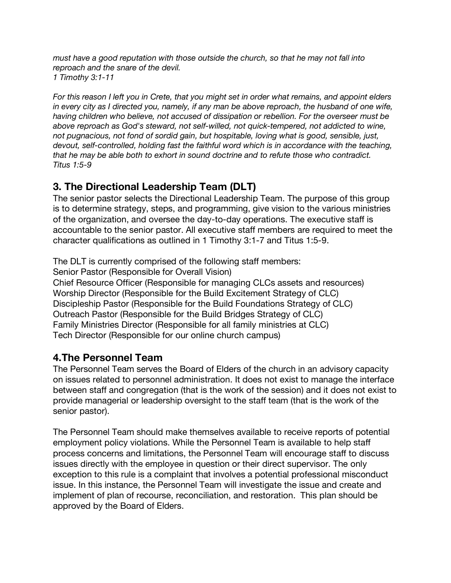*must have a good reputation with those outside the church, so that he may not fall into reproach and the snare of the devil. 1 Timothy 3:1-11*

For this reason I left you in Crete, that you might set in order what remains, and appoint elders in every city as I directed you, namely, if any man be above reproach, the husband of one wife, *having children who believe, not accused of dissipation or rebellion. For the overseer must be above reproach as God's steward, not self-willed, not quick-tempered, not addicted to wine, not pugnacious, not fond of sordid gain, but hospitable, loving what is good, sensible, just, devout, self-controlled, holding fast the faithful word which is in accordance with the teaching, that he may be able both to exhort in sound doctrine and to refute those who contradict. Titus 1:5-9*

# **3. The Directional Leadership Team (DLT)**

The senior pastor selects the Directional Leadership Team. The purpose of this group is to determine strategy, steps, and programming, give vision to the various ministries of the organization, and oversee the day-to-day operations. The executive staff is accountable to the senior pastor. All executive staff members are required to meet the character qualifications as outlined in 1 Timothy 3:1-7 and Titus 1:5-9.

The DLT is currently comprised of the following staff members:

Senior Pastor (Responsible for Overall Vision)

Chief Resource Officer (Responsible for managing CLCs assets and resources) Worship Director (Responsible for the Build Excitement Strategy of CLC) Discipleship Pastor (Responsible for the Build Foundations Strategy of CLC) Outreach Pastor (Responsible for the Build Bridges Strategy of CLC) Family Ministries Director (Responsible for all family ministries at CLC) Tech Director (Responsible for our online church campus)

# **4.The Personnel Team**

The Personnel Team serves the Board of Elders of the church in an advisory capacity on issues related to personnel administration. It does not exist to manage the interface between staff and congregation (that is the work of the session) and it does not exist to provide managerial or leadership oversight to the staff team (that is the work of the senior pastor).

The Personnel Team should make themselves available to receive reports of potential employment policy violations. While the Personnel Team is available to help staff process concerns and limitations, the Personnel Team will encourage staff to discuss issues directly with the employee in question or their direct supervisor. The only exception to this rule is a complaint that involves a potential professional misconduct issue. In this instance, the Personnel Team will investigate the issue and create and implement of plan of recourse, reconciliation, and restoration. This plan should be approved by the Board of Elders.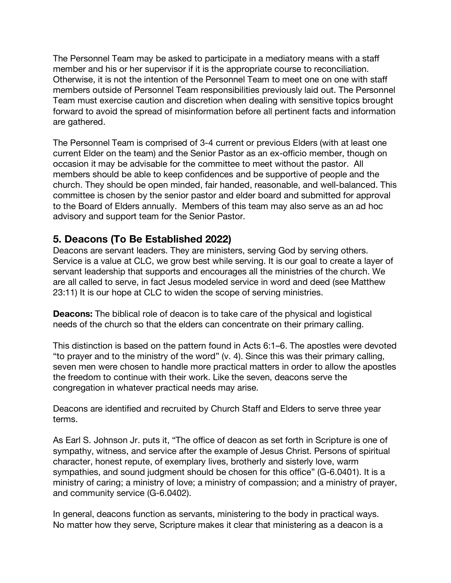The Personnel Team may be asked to participate in a mediatory means with a staff member and his or her supervisor if it is the appropriate course to reconciliation. Otherwise, it is not the intention of the Personnel Team to meet one on one with staff members outside of Personnel Team responsibilities previously laid out. The Personnel Team must exercise caution and discretion when dealing with sensitive topics brought forward to avoid the spread of misinformation before all pertinent facts and information are gathered.

The Personnel Team is comprised of 3-4 current or previous Elders (with at least one current Elder on the team) and the Senior Pastor as an ex-officio member, though on occasion it may be advisable for the committee to meet without the pastor. All members should be able to keep confidences and be supportive of people and the church. They should be open minded, fair handed, reasonable, and well-balanced. This committee is chosen by the senior pastor and elder board and submitted for approval to the Board of Elders annually. Members of this team may also serve as an ad hoc advisory and support team for the Senior Pastor.

### **5. Deacons (To Be Established 2022)**

Deacons are servant leaders. They are ministers, serving God by serving others. Service is a value at CLC, we grow best while serving. It is our goal to create a layer of servant leadership that supports and encourages all the ministries of the church. We are all called to serve, in fact Jesus modeled service in word and deed (see Matthew 23:11) It is our hope at CLC to widen the scope of serving ministries.

**Deacons:** The biblical role of deacon is to take care of the physical and logistical needs of the church so that the elders can concentrate on their primary calling.

This distinction is based on the pattern found in Acts 6:1–6. The apostles were devoted "to prayer and to the ministry of the word" (v. 4). Since this was their primary calling, seven men were chosen to handle more practical matters in order to allow the apostles the freedom to continue with their work. Like the seven, deacons serve the congregation in whatever practical needs may arise.

Deacons are identified and recruited by Church Staff and Elders to serve three year terms.

As Earl S. Johnson Jr. puts it, "The office of deacon as set forth in Scripture is one of sympathy, witness, and service after the example of Jesus Christ. Persons of spiritual character, honest repute, of exemplary lives, brotherly and sisterly love, warm sympathies, and sound judgment should be chosen for this office" (G-6.0401). It is a ministry of caring; a ministry of love; a ministry of compassion; and a ministry of prayer, and community service (G-6.0402).

In general, deacons function as servants, ministering to the body in practical ways. No matter how they serve, Scripture makes it clear that ministering as a deacon is a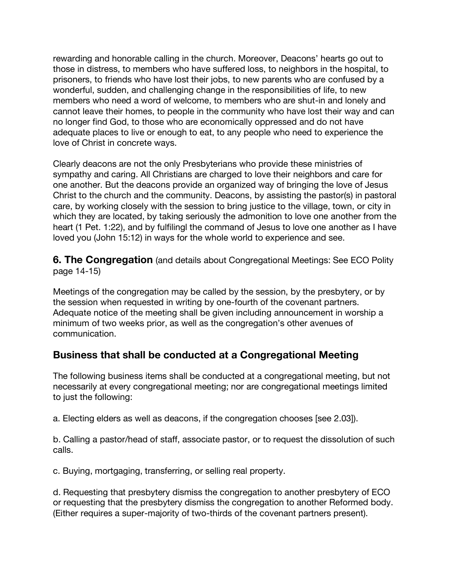rewarding and honorable calling in the church. Moreover, Deacons' hearts go out to those in distress, to members who have suffered loss, to neighbors in the hospital, to prisoners, to friends who have lost their jobs, to new parents who are confused by a wonderful, sudden, and challenging change in the responsibilities of life, to new members who need a word of welcome, to members who are shut-in and lonely and cannot leave their homes, to people in the community who have lost their way and can no longer find God, to those who are economically oppressed and do not have adequate places to live or enough to eat, to any people who need to experience the love of Christ in concrete ways.

Clearly deacons are not the only Presbyterians who provide these ministries of sympathy and caring. All Christians are charged to love their neighbors and care for one another. But the deacons provide an organized way of bringing the love of Jesus Christ to the church and the community. Deacons, by assisting the pastor(s) in pastoral care, by working closely with the session to bring justice to the village, town, or city in which they are located, by taking seriously the admonition to love one another from the heart (1 Pet. 1:22), and by fulfilingl the command of Jesus to love one another as I have loved you (John 15:12) in ways for the whole world to experience and see.

**6. The Congregation** (and details about Congregational Meetings: See ECO Polity page 14-15)

Meetings of the congregation may be called by the session, by the presbytery, or by the session when requested in writing by one-fourth of the covenant partners. Adequate notice of the meeting shall be given including announcement in worship a minimum of two weeks prior, as well as the congregation's other avenues of communication.

## **Business that shall be conducted at a Congregational Meeting**

The following business items shall be conducted at a congregational meeting, but not necessarily at every congregational meeting; nor are congregational meetings limited to just the following:

a. Electing elders as well as deacons, if the congregation chooses [see 2.03]).

b. Calling a pastor/head of staff, associate pastor, or to request the dissolution of such calls.

c. Buying, mortgaging, transferring, or selling real property.

d. Requesting that presbytery dismiss the congregation to another presbytery of ECO or requesting that the presbytery dismiss the congregation to another Reformed body. (Either requires a super-majority of two-thirds of the covenant partners present).